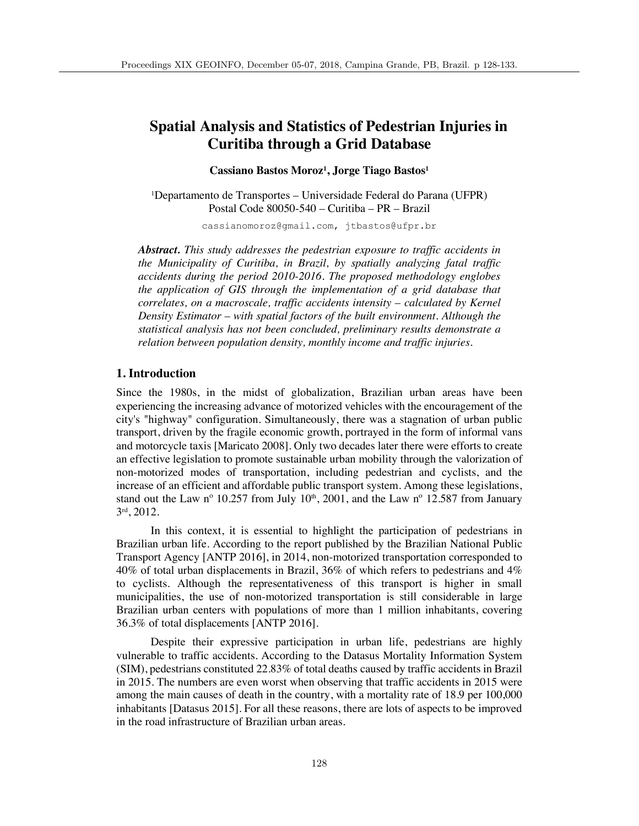# **Spatial Analysis and Statistics of Pedestrian Injuries in Curitiba through a Grid Database**

## **Cassiano Bastos Moroz1 , Jorge Tiago Bastos1**

1 Departamento de Transportes – Universidade Federal do Parana (UFPR) Postal Code 80050-540 – Curitiba – PR – Brazil

cassianomoroz@gmail.com, jtbastos@ufpr.br

*Abstract. This study addresses the pedestrian exposure to traffic accidents in the Municipality of Curitiba, in Brazil, by spatially analyzing fatal traffic accidents during the period 2010-2016. The proposed methodology englobes the application of GIS through the implementation of a grid database that correlates, on a macroscale, traffic accidents intensity – calculated by Kernel Density Estimator – with spatial factors of the built environment. Although the statistical analysis has not been concluded, preliminary results demonstrate a relation between population density, monthly income and traffic injuries.* 

## **1. Introduction**

Since the 1980s, in the midst of globalization, Brazilian urban areas have been experiencing the increasing advance of motorized vehicles with the encouragement of the city's "highway" configuration. Simultaneously, there was a stagnation of urban public transport, driven by the fragile economic growth, portrayed in the form of informal vans and motorcycle taxis [Maricato 2008]. Only two decades later there were efforts to create an effective legislation to promote sustainable urban mobility through the valorization of non-motorized modes of transportation, including pedestrian and cyclists, and the increase of an efficient and affordable public transport system. Among these legislations, stand out the Law n° 10.257 from July  $10<sup>th</sup>$ , 2001, and the Law n° 12.587 from January 3rd, 2012.

In this context, it is essential to highlight the participation of pedestrians in Brazilian urban life. According to the report published by the Brazilian National Public Transport Agency [ANTP 2016], in 2014, non-motorized transportation corresponded to 40% of total urban displacements in Brazil, 36% of which refers to pedestrians and 4% to cyclists. Although the representativeness of this transport is higher in small municipalities, the use of non-motorized transportation is still considerable in large Brazilian urban centers with populations of more than 1 million inhabitants, covering 36.3% of total displacements [ANTP 2016].

Despite their expressive participation in urban life, pedestrians are highly vulnerable to traffic accidents. According to the Datasus Mortality Information System (SIM), pedestrians constituted 22.83% of total deaths caused by traffic accidents in Brazil in 2015. The numbers are even worst when observing that traffic accidents in 2015 were among the main causes of death in the country, with a mortality rate of 18.9 per 100,000 inhabitants [Datasus 2015]. For all these reasons, there are lots of aspects to be improved in the road infrastructure of Brazilian urban areas.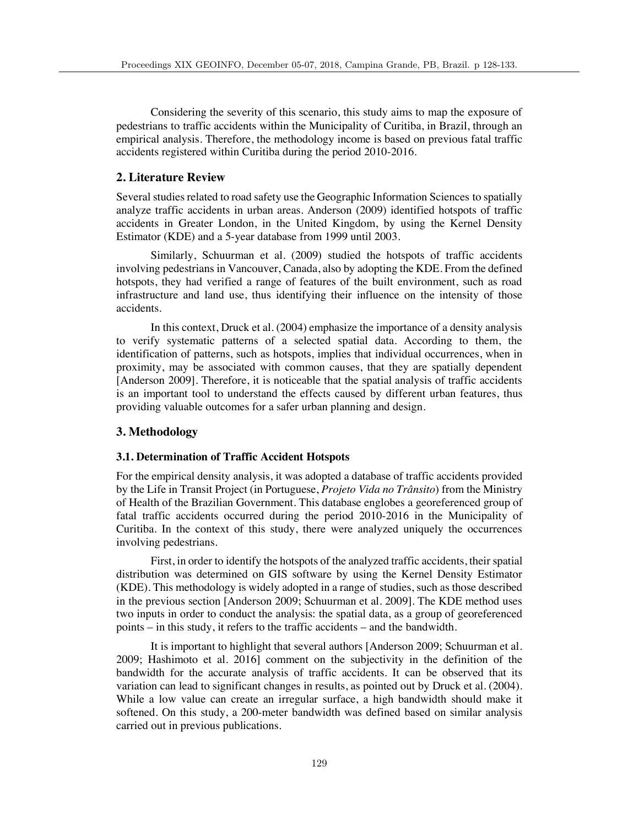Considering the severity of this scenario, this study aims to map the exposure of pedestrians to traffic accidents within the Municipality of Curitiba, in Brazil, through an empirical analysis. Therefore, the methodology income is based on previous fatal traffic accidents registered within Curitiba during the period 2010-2016.

## **2. Literature Review**

Several studies related to road safety use the Geographic Information Sciences to spatially analyze traffic accidents in urban areas. Anderson (2009) identified hotspots of traffic accidents in Greater London, in the United Kingdom, by using the Kernel Density Estimator (KDE) and a 5-year database from 1999 until 2003.

Similarly, Schuurman et al. (2009) studied the hotspots of traffic accidents involving pedestrians in Vancouver, Canada, also by adopting the KDE. From the defined hotspots, they had verified a range of features of the built environment, such as road infrastructure and land use, thus identifying their influence on the intensity of those accidents.

In this context, Druck et al. (2004) emphasize the importance of a density analysis to verify systematic patterns of a selected spatial data. According to them, the identification of patterns, such as hotspots, implies that individual occurrences, when in proximity, may be associated with common causes, that they are spatially dependent [Anderson 2009]. Therefore, it is noticeable that the spatial analysis of traffic accidents is an important tool to understand the effects caused by different urban features, thus providing valuable outcomes for a safer urban planning and design.

#### **3. Methodology**

#### **3.1. Determination of Traffic Accident Hotspots**

For the empirical density analysis, it was adopted a database of traffic accidents provided by the Life in Transit Project (in Portuguese, *Projeto Vida no Trânsito*) from the Ministry of Health of the Brazilian Government. This database englobes a georeferenced group of fatal traffic accidents occurred during the period 2010-2016 in the Municipality of Curitiba. In the context of this study, there were analyzed uniquely the occurrences involving pedestrians.

First, in order to identify the hotspots of the analyzed traffic accidents, their spatial distribution was determined on GIS software by using the Kernel Density Estimator (KDE). This methodology is widely adopted in a range of studies, such as those described in the previous section [Anderson 2009; Schuurman et al. 2009]. The KDE method uses two inputs in order to conduct the analysis: the spatial data, as a group of georeferenced points – in this study, it refers to the traffic accidents – and the bandwidth.

It is important to highlight that several authors [Anderson 2009; Schuurman et al. 2009; Hashimoto et al. 2016] comment on the subjectivity in the definition of the bandwidth for the accurate analysis of traffic accidents. It can be observed that its variation can lead to significant changes in results, as pointed out by Druck et al. (2004). While a low value can create an irregular surface, a high bandwidth should make it softened. On this study, a 200-meter bandwidth was defined based on similar analysis carried out in previous publications.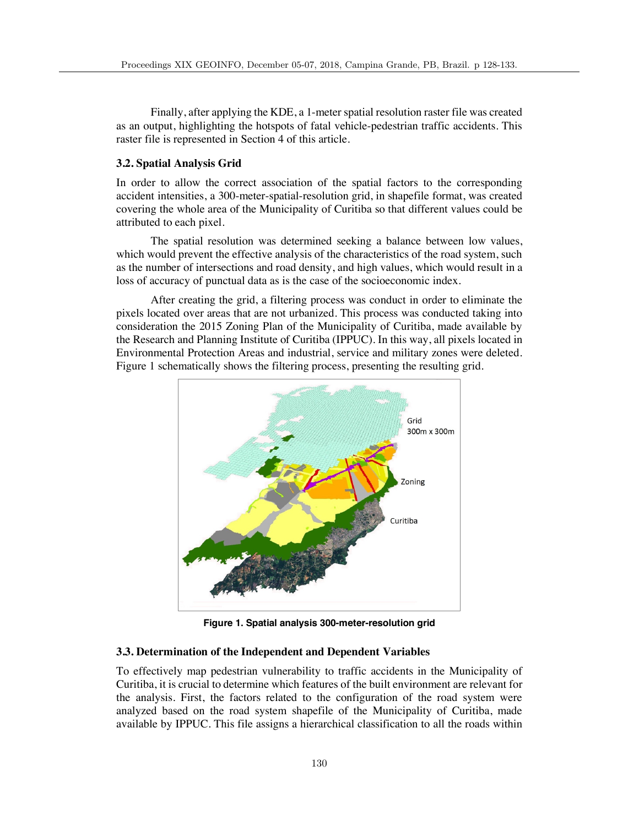Finally, after applying the KDE, a 1-meter spatial resolution raster file was created as an output, highlighting the hotspots of fatal vehicle-pedestrian traffic accidents. This raster file is represented in Section 4 of this article.

#### **3.2. Spatial Analysis Grid**

In order to allow the correct association of the spatial factors to the corresponding accident intensities, a 300-meter-spatial-resolution grid, in shapefile format, was created covering the whole area of the Municipality of Curitiba so that different values could be attributed to each pixel.

The spatial resolution was determined seeking a balance between low values, which would prevent the effective analysis of the characteristics of the road system, such as the number of intersections and road density, and high values, which would result in a loss of accuracy of punctual data as is the case of the socioeconomic index.

After creating the grid, a filtering process was conduct in order to eliminate the pixels located over areas that are not urbanized. This process was conducted taking into consideration the 2015 Zoning Plan of the Municipality of Curitiba, made available by the Research and Planning Institute of Curitiba (IPPUC). In this way, all pixels located in Environmental Protection Areas and industrial, service and military zones were deleted. Figure 1 schematically shows the filtering process, presenting the resulting grid.



**Figure 1. Spatial analysis 300-meter-resolution grid**

#### **3.3. Determination of the Independent and Dependent Variables**

To effectively map pedestrian vulnerability to traffic accidents in the Municipality of Curitiba, it is crucial to determine which features of the built environment are relevant for the analysis. First, the factors related to the configuration of the road system were analyzed based on the road system shapefile of the Municipality of Curitiba, made available by IPPUC. This file assigns a hierarchical classification to all the roads within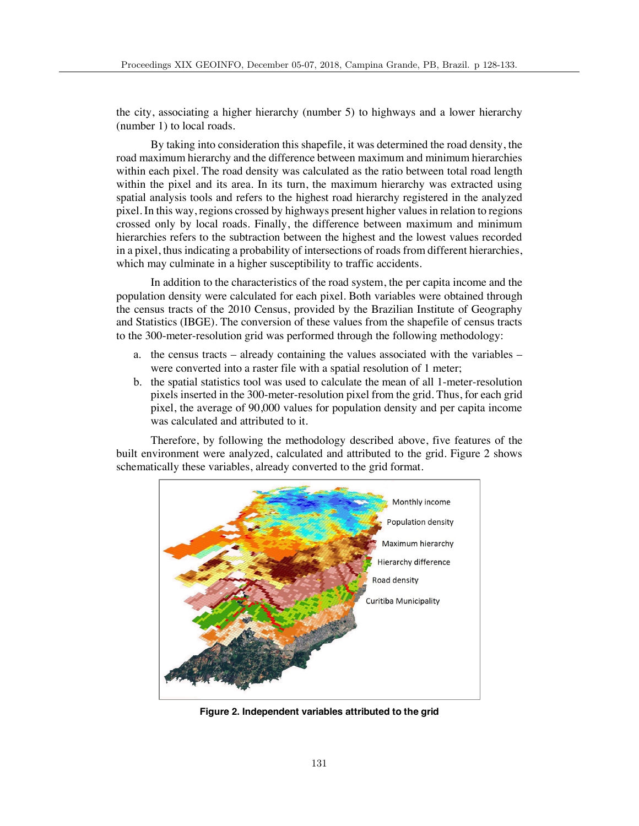the city, associating a higher hierarchy (number 5) to highways and a lower hierarchy (number 1) to local roads.

By taking into consideration this shapefile, it was determined the road density, the road maximum hierarchy and the difference between maximum and minimum hierarchies within each pixel. The road density was calculated as the ratio between total road length within the pixel and its area. In its turn, the maximum hierarchy was extracted using spatial analysis tools and refers to the highest road hierarchy registered in the analyzed pixel. In this way, regions crossed by highways present higher values in relation to regions crossed only by local roads. Finally, the difference between maximum and minimum hierarchies refers to the subtraction between the highest and the lowest values recorded in a pixel, thus indicating a probability of intersections of roads from different hierarchies, which may culminate in a higher susceptibility to traffic accidents.

In addition to the characteristics of the road system, the per capita income and the population density were calculated for each pixel. Both variables were obtained through the census tracts of the 2010 Census, provided by the Brazilian Institute of Geography and Statistics (IBGE). The conversion of these values from the shapefile of census tracts to the 300-meter-resolution grid was performed through the following methodology:

- a. the census tracts already containing the values associated with the variables were converted into a raster file with a spatial resolution of 1 meter;
- b. the spatial statistics tool was used to calculate the mean of all 1-meter-resolution pixels inserted in the 300-meter-resolution pixel from the grid. Thus, for each grid pixel, the average of 90,000 values for population density and per capita income was calculated and attributed to it.

Therefore, by following the methodology described above, five features of the built environment were analyzed, calculated and attributed to the grid. Figure 2 shows schematically these variables, already converted to the grid format.



**Figure 2. Independent variables attributed to the grid**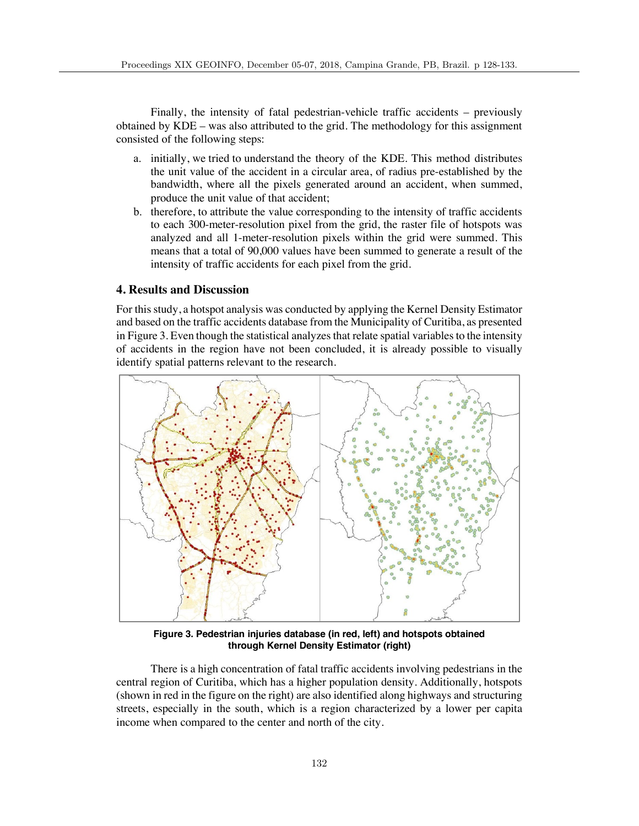Finally, the intensity of fatal pedestrian-vehicle traffic accidents – previously obtained by KDE – was also attributed to the grid. The methodology for this assignment consisted of the following steps:

- a. initially, we tried to understand the theory of the KDE. This method distributes the unit value of the accident in a circular area, of radius pre-established by the bandwidth, where all the pixels generated around an accident, when summed, produce the unit value of that accident;
- b. therefore, to attribute the value corresponding to the intensity of traffic accidents to each 300-meter-resolution pixel from the grid, the raster file of hotspots was analyzed and all 1-meter-resolution pixels within the grid were summed. This means that a total of 90,000 values have been summed to generate a result of the intensity of traffic accidents for each pixel from the grid.

## **4. Results and Discussion**

For this study, a hotspot analysis was conducted by applying the Kernel Density Estimator and based on the traffic accidents database from the Municipality of Curitiba, as presented in Figure 3. Even though the statistical analyzes that relate spatial variables to the intensity of accidents in the region have not been concluded, it is already possible to visually identify spatial patterns relevant to the research.



**Figure 3. Pedestrian injuries database (in red, left) and hotspots obtained through Kernel Density Estimator (right)**

There is a high concentration of fatal traffic accidents involving pedestrians in the central region of Curitiba, which has a higher population density. Additionally, hotspots (shown in red in the figure on the right) are also identified along highways and structuring streets, especially in the south, which is a region characterized by a lower per capita income when compared to the center and north of the city.